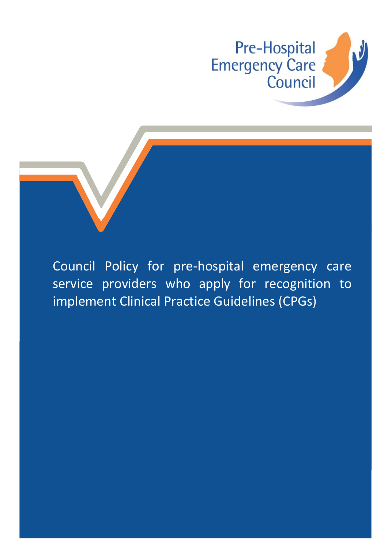

Council Policy for pre-hospital emergency care service providers who apply for recognition to implement Clinical Practice Guidelines (CPGs)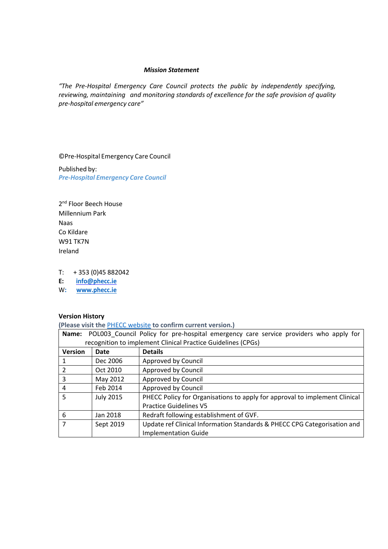#### *Mission Statement*

*"The Pre-Hospital Emergency Care Council protects the public by independently specifying, reviewing, maintaining and monitoring standards of excellence for the safe provision of quality pre-hospital emergency care"*

©Pre-Hospital Emergency Care Council

Published by: *Pre-Hospital Emergency Care Council*

2<sup>nd</sup> Floor Beech House Millennium Park Naas Co Kildare W91 TK7N Ireland

T: + 353 (0)45 882042

**E: [info@phecc.ie](mailto:info@phecc.ie)** 

W**: [www.phecc.ie](http://www.phecc.ie/)**

# **Version History**

**(Please visit the** [PHECC website](http://www.phecit.ie/PHECC/Clinical_resources/Clinical_Standards/PHECC/Clinical_Resources/Clinical_Standards/Clinical_Standards.aspx?Hkey=8a152974-f9b2-4294-b14d-09aa23d6403e) **to confirm current version.)**

| Name:                                                        |                  | POL003 Council Policy for pre-hospital emergency care service providers who apply for |
|--------------------------------------------------------------|------------------|---------------------------------------------------------------------------------------|
| recognition to implement Clinical Practice Guidelines (CPGs) |                  |                                                                                       |
| <b>Version</b>                                               | Date             | <b>Details</b>                                                                        |
| 1                                                            | Dec 2006         | Approved by Council                                                                   |
| $\overline{2}$                                               | Oct 2010         | Approved by Council                                                                   |
| 3                                                            | May 2012         | Approved by Council                                                                   |
| $\overline{4}$                                               | Feb 2014         | Approved by Council                                                                   |
| 5                                                            | <b>July 2015</b> | PHECC Policy for Organisations to apply for approval to implement Clinical            |
|                                                              |                  | <b>Practice Guidelines V5</b>                                                         |
| 6                                                            | Jan 2018         | Redraft following establishment of GVF.                                               |
| $\overline{7}$                                               | Sept 2019        | Update ref Clinical Information Standards & PHECC CPG Categorisation and              |
|                                                              |                  | <b>Implementation Guide</b>                                                           |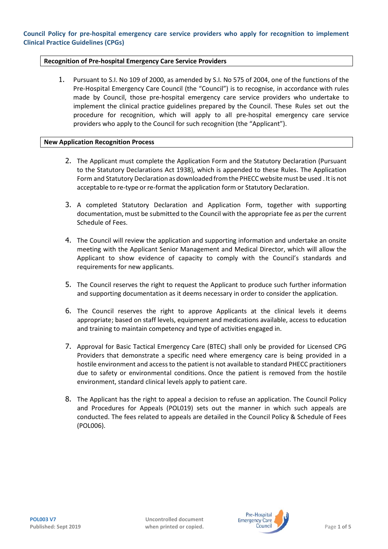# **Recognition of Pre-hospital Emergency Care Service Providers**

1. Pursuant to S.I. No 109 of 2000, as amended by S.I. No 575 of 2004, one of the functions of the Pre-Hospital Emergency Care Council (the "Council") is to recognise, in accordance with rules made by Council, those pre-hospital emergency care service providers who undertake to implement the clinical practice guidelines prepared by the Council. These Rules set out the procedure for recognition, which will apply to all pre-hospital emergency care service providers who apply to the Council for such recognition (the "Applicant").

#### **New Application Recognition Process**

- 2. The Applicant must complete the Application Form and the Statutory Declaration (Pursuant to the Statutory Declarations Act 1938), which is appended to these Rules. The Application Form and Statutory Declaration as downloaded from the PHECC websitemust be used . It is not acceptable to re-type or re-format the application form or Statutory Declaration.
- 3. A completed Statutory Declaration and Application Form, together with supporting documentation, must be submitted to the Council with the appropriate fee as per the current Schedule of Fees.
- 4. The Council will review the application and supporting information and undertake an onsite meeting with the Applicant Senior Management and Medical Director, which will allow the Applicant to show evidence of capacity to comply with the Council's standards and requirements for new applicants.
- 5. The Council reserves the right to request the Applicant to produce such further information and supporting documentation as it deems necessary in order to consider the application.
- 6. The Council reserves the right to approve Applicants at the clinical levels it deems appropriate; based on staff levels, equipment and medications available, access to education and training to maintain competency and type of activities engaged in.
- 7. Approval for Basic Tactical Emergency Care (BTEC) shall only be provided for Licensed CPG Providers that demonstrate a specific need where emergency care is being provided in a hostile environment and access to the patient is not available to standard PHECC practitioners due to safety or environmental conditions. Once the patient is removed from the hostile environment, standard clinical levels apply to patient care.
- 8. The Applicant has the right to appeal a decision to refuse an application. The Council Policy and Procedures for Appeals (POL019) sets out the manner in which such appeals are conducted. The fees related to appeals are detailed in the Council Policy & Schedule of Fees (POL006).

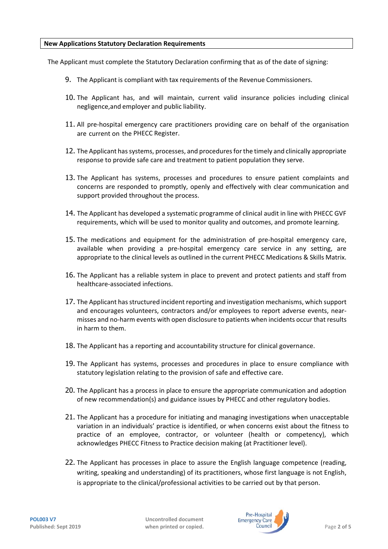# **New Applications Statutory Declaration Requirements**

The Applicant must complete the Statutory Declaration confirming that as of the date of signing:

- 9. The Applicant is compliant with tax requirements of the Revenue Commissioners.
- 10. The Applicant has, and will maintain, current valid insurance policies including clinical negligence,and employer and public liability.
- 11. All pre-hospital emergency care practitioners providing care on behalf of the organisation are current on the PHECC Register.
- 12. The Applicant has systems, processes, and procedures for the timely and clinically appropriate response to provide safe care and treatment to patient population they serve.
- 13. The Applicant has systems, processes and procedures to ensure patient complaints and concerns are responded to promptly, openly and effectively with clear communication and support provided throughout the process.
- 14. The Applicant has developed a systematic programme of clinical audit in line with PHECC GVF requirements, which will be used to monitor quality and outcomes, and promote learning.
- 15. The medications and equipment for the administration of pre-hospital emergency care, available when providing a pre-hospital emergency care service in any setting, are appropriate to the clinical levels as outlined in the current PHECC Medications & Skills Matrix.
- 16. The Applicant has a reliable system in place to prevent and protect patients and staff from healthcare-associated infections.
- 17. The Applicant has structured incident reporting and investigation mechanisms, which support and encourages volunteers, contractors and/or employees to report adverse events, nearmisses and no-harm events with open disclosure to patients when incidents occur that results in harm to them.
- 18. The Applicant has a reporting and accountability structure for clinical governance.
- 19. The Applicant has systems, processes and procedures in place to ensure compliance with statutory legislation relating to the provision of safe and effective care.
- 20. The Applicant has a process in place to ensure the appropriate communication and adoption of new recommendation(s) and guidance issues by PHECC and other regulatory bodies.
- 21. The Applicant has a procedure for initiating and managing investigations when unacceptable variation in an individuals' practice is identified, or when concerns exist about the fitness to practice of an employee, contractor, or volunteer (health or competency), which acknowledges PHECC Fitness to Practice decision making (at Practitioner level).
- 22. The Applicant has processes in place to assure the English language competence (reading, writing, speaking and understanding) of its practitioners, whose first language is not English, is appropriate to the clinical/professional activities to be carried out by that person.

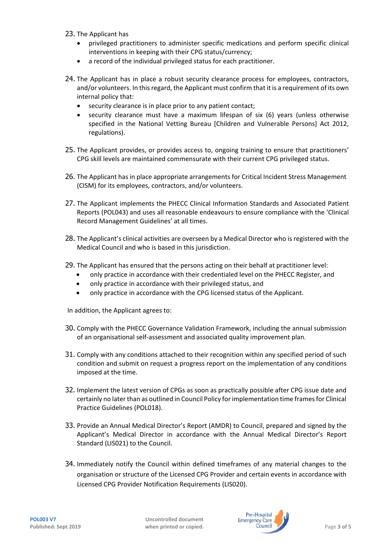- 23. The Applicant has
	- privileged practitioners to administer specific medications and perform specific clinical interventions in keeping with their CPG status/currency;
	- a record of the individual privileged status for each practitioner.
- 24. The Applicant has in place a robust security clearance process for employees, contractors, and/or volunteers. In this regard, the Applicant must confirm that it is a requirement of its own internal policy that:
	- security clearance is in place prior to any patient contact;
	- security clearance must have a maximum lifespan of six (6) years (unless otherwise specified in the National Vetting Bureau [Children and Vulnerable Persons] Act 2012, regulations).
- 25. The Applicant provides, or provides access to, ongoing training to ensure that practitioners' CPG skill levels are maintained commensurate with their current CPG privileged status.
- 26. The Applicant has in place appropriate arrangements for Critical Incident Stress Management (CISM) for its employees, contractors, and/or volunteers.
- 27. The Applicant implements the PHECC Clinical Information Standards and Associated Patient Reports (POL043) and uses all reasonable endeavours to ensure compliance with the 'Clinical Record Management Guidelines' at all times.
- 28. The Applicant's clinical activities are overseen by a Medical Director who is registered with the Medical Council and who is based in this jurisdiction.
- 29. The Applicant has ensured that the persons acting on their behalf at practitioner level:
	- only practice in accordance with their credentialed level on the PHECC Register, and
	- only practice in accordance with their privileged status, and
	- only practice in accordance with the CPG licensed status of the Applicant.

In addition, the Applicant agrees to:

- 30. Comply with the PHECC Governance Validation Framework, including the annual submission of an organisational self-assessment and associated quality improvement plan.
- 31. Comply with any conditions attached to their recognition within any specified period of such condition and submit on request a progress report on the implementation of any conditions imposed at the time.
- 32. Implement the latest version of CPGs as soon as practically possible after CPG issue date and certainly no later than as outlined in Council Policy for implementation time framesfor Clinical Practice Guidelines (POL018).
- 33. Provide an Annual Medical Director's Report (AMDR) to Council, prepared and signed by the Applicant's Medical Director in accordance with the Annual Medical Director's Report Standard (LIS021) to the Council.
- 34. Immediately notify the Council within defined timeframes of any material changes to the organisation or structure of the Licensed CPG Provider and certain events in accordance with Licensed CPG Provider Notification Requirements (LIS020).

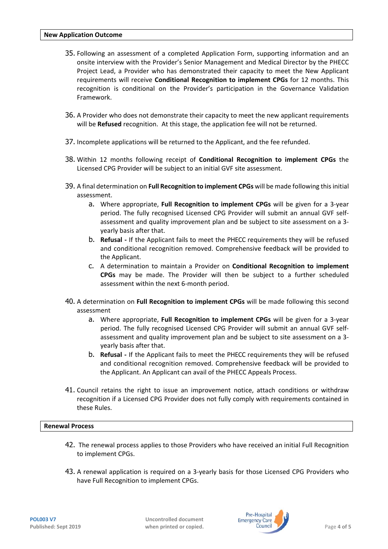- 35. Following an assessment of a completed Application Form, supporting information and an onsite interview with the Provider's Senior Management and Medical Director by the PHECC Project Lead, a Provider who has demonstrated their capacity to meet the New Applicant requirements will receive **Conditional Recognition to implement CPGs** for 12 months. This recognition is conditional on the Provider's participation in the Governance Validation Framework.
- 36. A Provider who does not demonstrate their capacity to meet the new applicant requirements will be **Refused** recognition. At this stage, the application fee will not be returned.
- 37. Incomplete applications will be returned to the Applicant, and the fee refunded.
- 38. Within 12 months following receipt of **Conditional Recognition to implement CPGs** the Licensed CPG Provider will be subject to an initial GVF site assessment.
- 39. A final determination on **Full Recognition to implement CPGs** will be made following this initial assessment.
	- a. Where appropriate, **Full Recognition to implement CPGs** will be given for a 3-year period. The fully recognised Licensed CPG Provider will submit an annual GVF selfassessment and quality improvement plan and be subject to site assessment on a 3 yearly basis after that.
	- b. **Refusal -** If the Applicant fails to meet the PHECC requirements they will be refused and conditional recognition removed. Comprehensive feedback will be provided to the Applicant.
	- c. A determination to maintain a Provider on **Conditional Recognition to implement CPGs** may be made. The Provider will then be subject to a further scheduled assessment within the next 6-month period.
- 40. A determination on **Full Recognition to implement CPGs** will be made following this second assessment
	- a. Where appropriate, **Full Recognition to implement CPGs** will be given for a 3-year period. The fully recognised Licensed CPG Provider will submit an annual GVF selfassessment and quality improvement plan and be subject to site assessment on a 3 yearly basis after that.
	- b. **Refusal -** If the Applicant fails to meet the PHECC requirements they will be refused and conditional recognition removed. Comprehensive feedback will be provided to the Applicant. An Applicant can avail of the PHECC Appeals Process.
- 41. Council retains the right to issue an improvement notice, attach conditions or withdraw recognition if a Licensed CPG Provider does not fully comply with requirements contained in these Rules.

#### **Renewal Process**

- 42. The renewal process applies to those Providers who have received an initial Full Recognition to implement CPGs.
- 43. A renewal application is required on a 3-yearly basis for those Licensed CPG Providers who have Full Recognition to implement CPGs.

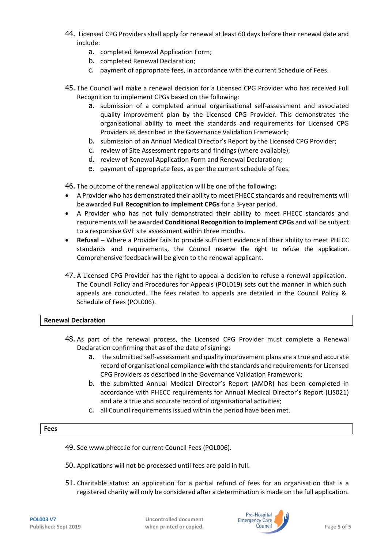- 44. Licensed CPG Providers shall apply for renewal at least 60 days before their renewal date and include:
	- a. completed Renewal Application Form;
	- b. completed Renewal Declaration;
	- c. payment of appropriate fees, in accordance with the current Schedule of Fees.
- 45. The Council will make a renewal decision for a Licensed CPG Provider who has received Full Recognition to implement CPGs based on the following:
	- a. submission of a completed annual organisational self-assessment and associated quality improvement plan by the Licensed CPG Provider. This demonstrates the organisational ability to meet the standards and requirements for Licensed CPG Providers as described in the Governance Validation Framework;
	- b. submission of an Annual Medical Director's Report by the Licensed CPG Provider;
	- c. review of Site Assessment reports and findings (where available);
	- d. review of Renewal Application Form and Renewal Declaration;
	- e. payment of appropriate fees, as per the current schedule of fees.

46. The outcome of the renewal application will be one of the following:

- A Provider who has demonstrated their ability to meet PHECC standards and requirements will be awarded **Full Recognition to implement CPGs** for a 3-year period.
- A Provider who has not fully demonstrated their ability to meet PHECC standards and requirements will be awarded **Conditional Recognition to implement CPGs** and will be subject to a responsive GVF site assessment within three months.
- **Refusal –** Where a Provider fails to provide sufficient evidence of their ability to meet PHECC standards and requirements, the Council reserve the right to refuse the application. Comprehensive feedback will be given to the renewal applicant.
- 47. A Licensed CPG Provider has the right to appeal a decision to refuse a renewal application. The Council Policy and Procedures for Appeals (POL019) sets out the manner in which such appeals are conducted. The fees related to appeals are detailed in the Council Policy & Schedule of Fees (POL006).

# **Renewal Declaration**

- 48. As part of the renewal process, the Licensed CPG Provider must complete a Renewal Declaration confirming that as of the date of signing:
	- a. the submitted self-assessment and quality improvement plans are a true and accurate record of organisational compliance with the standards and requirements for Licensed CPG Providers as described in the Governance Validation Framework;
	- b. the submitted Annual Medical Director's Report (AMDR) has been completed in accordance with PHECC requirements for Annual Medical Director's Report (LIS021) and are a true and accurate record of organisational activities;
	- c. all Council requirements issued within the period have been met.

#### **Fees**

- 49. Se[e www.phecc.ie](http://www.phecc.ie/) for current Council Fees (POL006).
- 50. Applications will not be processed until fees are paid in full.
- 51. Charitable status: an application for a partial refund of fees for an organisation that is a registered charity will only be considered after a determination is made on the full application.